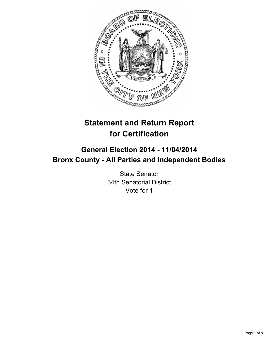

# **Statement and Return Report for Certification**

## **General Election 2014 - 11/04/2014 Bronx County - All Parties and Independent Bodies**

State Senator 34th Senatorial District Vote for 1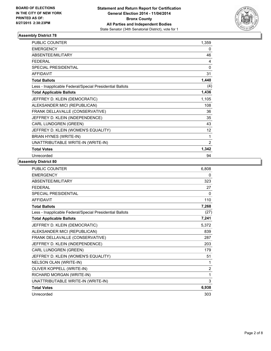

| <b>PUBLIC COUNTER</b>                                    | 1,359           |
|----------------------------------------------------------|-----------------|
| <b>EMERGENCY</b>                                         | 0               |
| <b>ABSENTEE/MILITARY</b>                                 | 46              |
| <b>FEDERAL</b>                                           | 4               |
| <b>SPECIAL PRESIDENTIAL</b>                              | 0               |
| <b>AFFIDAVIT</b>                                         | 31              |
| <b>Total Ballots</b>                                     | 1,440           |
| Less - Inapplicable Federal/Special Presidential Ballots | (4)             |
| <b>Total Applicable Ballots</b>                          | 1,436           |
| JEFFREY D. KLEIN (DEMOCRATIC)                            | 1,105           |
| ALEKSANDER MICI (REPUBLICAN)                             | 108             |
| FRANK DELLAVALLE (CONSERVATIVE)                          | 36              |
| JEFFREY D. KLEIN (INDEPENDENCE)                          | 35              |
| CARL LUNDGREN (GREEN)                                    | 43              |
| JEFFREY D. KLEIN (WOMEN'S EQUALITY)                      | 12 <sup>°</sup> |
| BRIAN HYNES (WRITE-IN)                                   | 1               |
| UNATTRIBUTABLE WRITE-IN (WRITE-IN)                       | $\overline{2}$  |
| <b>Total Votes</b>                                       | 1,342           |
| Unrecorded                                               | 94              |

| <b>PUBLIC COUNTER</b>                                    | 6,808          |
|----------------------------------------------------------|----------------|
| <b>EMERGENCY</b>                                         | 0              |
| ABSENTEE/MILITARY                                        | 323            |
| <b>FEDERAL</b>                                           | 27             |
| SPECIAL PRESIDENTIAL                                     | 0              |
| <b>AFFIDAVIT</b>                                         | 110            |
| <b>Total Ballots</b>                                     | 7,268          |
| Less - Inapplicable Federal/Special Presidential Ballots | (27)           |
| <b>Total Applicable Ballots</b>                          | 7,241          |
| JEFFREY D. KLEIN (DEMOCRATIC)                            | 5,372          |
| ALEKSANDER MICI (REPUBLICAN)                             | 839            |
| FRANK DELLAVALLE (CONSERVATIVE)                          | 287            |
| JEFFREY D. KLEIN (INDEPENDENCE)                          | 203            |
| CARL LUNDGREN (GREEN)                                    | 179            |
| JEFFREY D. KLEIN (WOMEN'S EQUALITY)                      | 51             |
| NELSON OLAN (WRITE-IN)                                   | 1              |
| OLIVER KOPPELL (WRITE-IN)                                | $\overline{2}$ |
| RICHARD MORGAN (WRITE-IN)                                | 1              |
| UNATTRIBUTABLE WRITE-IN (WRITE-IN)                       | 3              |
| <b>Total Votes</b>                                       | 6,938          |
| Unrecorded                                               | 303            |
|                                                          |                |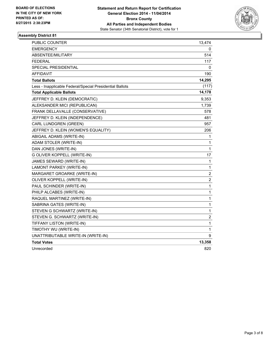

| <b>PUBLIC COUNTER</b>                                    | 13,474                  |
|----------------------------------------------------------|-------------------------|
| EMERGENCY                                                | 0                       |
| ABSENTEE/MILITARY                                        | 514                     |
| <b>FEDERAL</b>                                           | 117                     |
| SPECIAL PRESIDENTIAL                                     | 0                       |
| <b>AFFIDAVIT</b>                                         | 190                     |
| <b>Total Ballots</b>                                     | 14,295                  |
| Less - Inapplicable Federal/Special Presidential Ballots | (117)                   |
| <b>Total Applicable Ballots</b>                          | 14,178                  |
| JEFFREY D. KLEIN (DEMOCRATIC)                            | 9,353                   |
| ALEKSANDER MICI (REPUBLICAN)                             | 1,739                   |
| FRANK DELLAVALLE (CONSERVATIVE)                          | 578                     |
| JEFFREY D. KLEIN (INDEPENDENCE)                          | 481                     |
| CARL LUNDGREN (GREEN)                                    | 957                     |
| JEFFREY D. KLEIN (WOMEN'S EQUALITY)                      | 206                     |
| ABIGAIL ADAMS (WRITE-IN)                                 | 1                       |
| ADAM STOLER (WRITE-IN)                                   | 1                       |
| DAN JONES (WRITE-IN)                                     | 1                       |
| G OLIVER KOPPELL (WRITE-IN)                              | 17                      |
| JAMES SEWARD (WRITE-IN)                                  | 1                       |
| LAMONT PARKEY (WRITE-IN)                                 | 1                       |
| MARGARET GROARKE (WRITE-IN)                              | $\overline{\mathbf{c}}$ |
| OLIVER KOPPELL (WRITE-IN)                                | $\overline{\mathbf{c}}$ |
| PAUL SCHINDER (WRITE-IN)                                 | 1                       |
| PHILP ALCABES (WRITE-IN)                                 | 1                       |
| RAQUEL MARTINEZ (WRITE-IN)                               | 1                       |
| SABRINA GATES (WRITE-IN)                                 | $\mathbf{1}$            |
| STEVEN G SCHWARTZ (WRITE-IN)                             | 1                       |
| STEVEN G. SCHWARTZ (WRITE-IN)                            | 2                       |
| TIFFANY LISTON (WRITE-IN)                                | 1                       |
| TIMOTHY WU (WRITE-IN)                                    | 1                       |
| UNATTRIBUTABLE WRITE-IN (WRITE-IN)                       | 9                       |
| <b>Total Votes</b>                                       | 13,358                  |
| Unrecorded                                               | 820                     |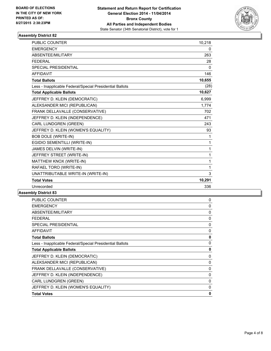

| <b>PUBLIC COUNTER</b>                                    | 10,218       |
|----------------------------------------------------------|--------------|
| <b>EMERGENCY</b>                                         | 0            |
| ABSENTEE/MILITARY                                        | 263          |
| <b>FEDERAL</b>                                           | 28           |
| SPECIAL PRESIDENTIAL                                     | $\mathbf{0}$ |
| <b>AFFIDAVIT</b>                                         | 146          |
| <b>Total Ballots</b>                                     | 10,655       |
| Less - Inapplicable Federal/Special Presidential Ballots | (28)         |
| <b>Total Applicable Ballots</b>                          | 10,627       |
| JEFFREY D. KLEIN (DEMOCRATIC)                            | 6,999        |
| ALEKSANDER MICI (REPUBLICAN)                             | 1,774        |
| FRANK DELLAVALLE (CONSERVATIVE)                          | 702          |
| JEFFREY D. KLEIN (INDEPENDENCE)                          | 471          |
| <b>CARL LUNDGREN (GREEN)</b>                             | 243          |
| JEFFREY D. KLEIN (WOMEN'S EQUALITY)                      | 93           |
| <b>BOB DOLE (WRITE-IN)</b>                               | 1            |
| EGIDIO SEMENTILLI (WRITE-IN)                             | 1            |
| JAMES DELVIN (WRITE-IN)                                  | 1            |
| JEFFREY STREET (WRITE-IN)                                | 1            |
| MATTHEW KNOX (WRITE-IN)                                  | 1            |
| RAFAEL TORO (WRITE-IN)                                   | 1            |
| UNATTRIBUTABLE WRITE-IN (WRITE-IN)                       | 3            |
| <b>Total Votes</b>                                       | 10,291       |
| Unrecorded                                               | 336          |

| <b>PUBLIC COUNTER</b>                                    | 0 |
|----------------------------------------------------------|---|
| <b>EMERGENCY</b>                                         | 0 |
| ABSENTEE/MILITARY                                        | 0 |
| <b>FEDERAL</b>                                           | 0 |
| <b>SPECIAL PRESIDENTIAL</b>                              | 0 |
| <b>AFFIDAVIT</b>                                         | 0 |
| <b>Total Ballots</b>                                     | 0 |
| Less - Inapplicable Federal/Special Presidential Ballots | 0 |
| <b>Total Applicable Ballots</b>                          | 0 |
| JEFFREY D. KLEIN (DEMOCRATIC)                            | 0 |
| ALEKSANDER MICI (REPUBLICAN)                             | 0 |
| FRANK DELLAVALLE (CONSERVATIVE)                          | 0 |
| JEFFREY D. KLEIN (INDEPENDENCE)                          | 0 |
| CARL LUNDGREN (GREEN)                                    | 0 |
| JEFFREY D. KLEIN (WOMEN'S EQUALITY)                      | 0 |
| <b>Total Votes</b>                                       | 0 |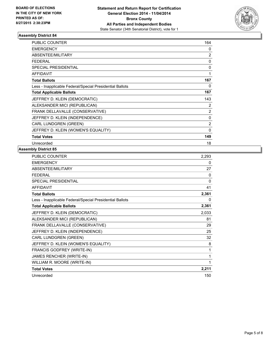

| <b>PUBLIC COUNTER</b>                                    | 164            |
|----------------------------------------------------------|----------------|
| <b>EMERGENCY</b>                                         | 0              |
| <b>ABSENTEE/MILITARY</b>                                 | 2              |
| <b>FEDERAL</b>                                           | 0              |
| <b>SPECIAL PRESIDENTIAL</b>                              | $\mathbf{0}$   |
| <b>AFFIDAVIT</b>                                         | 1              |
| <b>Total Ballots</b>                                     | 167            |
| Less - Inapplicable Federal/Special Presidential Ballots | 0              |
| <b>Total Applicable Ballots</b>                          | 167            |
| JEFFREY D. KLEIN (DEMOCRATIC)                            | 143            |
| ALEKSANDER MICI (REPUBLICAN)                             | 2              |
| FRANK DELLAVALLE (CONSERVATIVE)                          | $\overline{2}$ |
| JEFFREY D. KLEIN (INDEPENDENCE)                          | 0              |
| <b>CARL LUNDGREN (GREEN)</b>                             | $\overline{2}$ |
| JEFFREY D. KLEIN (WOMEN'S EQUALITY)                      | $\mathbf{0}$   |
| <b>Total Votes</b>                                       | 149            |
| Unrecorded                                               | 18             |

| PUBLIC COUNTER                                           | 2,293 |
|----------------------------------------------------------|-------|
| <b>EMERGENCY</b>                                         | 0     |
| ABSENTEE/MILITARY                                        | 27    |
| <b>FEDERAL</b>                                           | 0     |
| <b>SPECIAL PRESIDENTIAL</b>                              | 0     |
| <b>AFFIDAVIT</b>                                         | 41    |
| <b>Total Ballots</b>                                     | 2,361 |
| Less - Inapplicable Federal/Special Presidential Ballots | 0     |
| <b>Total Applicable Ballots</b>                          | 2,361 |
| JEFFREY D. KLEIN (DEMOCRATIC)                            | 2,033 |
| ALEKSANDER MICI (REPUBLICAN)                             | 81    |
| FRANK DELLAVALLE (CONSERVATIVE)                          | 29    |
| JEFFREY D. KLEIN (INDEPENDENCE)                          | 25    |
| CARL LUNDGREN (GREEN)                                    | 32    |
| JEFFREY D. KLEIN (WOMEN'S EQUALITY)                      | 8     |
| FRANCIS GODFREY (WRITE-IN)                               | 1     |
| JAMES RENCHER (WRITE-IN)                                 | 1     |
| WILLIAM R. MOORE (WRITE-IN)                              | 1     |
| <b>Total Votes</b>                                       | 2,211 |
| Unrecorded                                               | 150   |
|                                                          |       |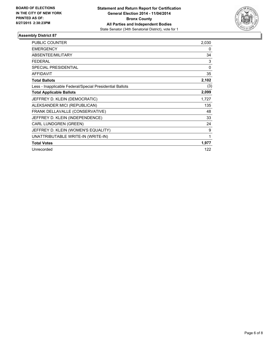

| PUBLIC COUNTER                                           | 2,030 |
|----------------------------------------------------------|-------|
| <b>EMERGENCY</b>                                         | 0     |
| ABSENTEE/MILITARY                                        | 34    |
| <b>FEDERAL</b>                                           | 3     |
| <b>SPECIAL PRESIDENTIAL</b>                              | 0     |
| <b>AFFIDAVIT</b>                                         | 35    |
| <b>Total Ballots</b>                                     | 2,102 |
| Less - Inapplicable Federal/Special Presidential Ballots | (3)   |
| <b>Total Applicable Ballots</b>                          | 2,099 |
| JEFFREY D. KLEIN (DEMOCRATIC)                            | 1,727 |
| ALEKSANDER MICI (REPUBLICAN)                             | 135   |
| FRANK DELLAVALLE (CONSERVATIVE)                          | 48    |
| JEFFREY D. KLEIN (INDEPENDENCE)                          | 33    |
| CARL LUNDGREN (GREEN)                                    | 24    |
| JEFFREY D. KLEIN (WOMEN'S EQUALITY)                      | 9     |
| UNATTRIBUTABLE WRITE-IN (WRITE-IN)                       | 1     |
| <b>Total Votes</b>                                       | 1,977 |
| Unrecorded                                               | 122   |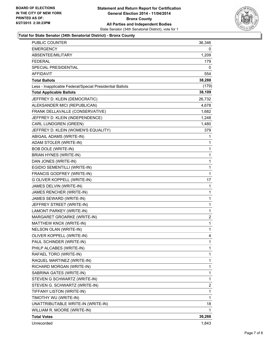

#### **Total for State Senator (34th Senatorial District) - Bronx County**

| PUBLIC COUNTER                                           | 36,346 |
|----------------------------------------------------------|--------|
| EMERGENCY                                                | 0      |
| ABSENTEE/MILITARY                                        | 1,209  |
| <b>FEDERAL</b>                                           | 179    |
| SPECIAL PRESIDENTIAL                                     | 0      |
| <b>AFFIDAVIT</b>                                         | 554    |
| <b>Total Ballots</b>                                     | 38,288 |
| Less - Inapplicable Federal/Special Presidential Ballots | (179)  |
| <b>Total Applicable Ballots</b>                          | 38,109 |
| JEFFREY D. KLEIN (DEMOCRATIC)                            | 26,732 |
| ALEKSANDER MICI (REPUBLICAN)                             | 4,678  |
| FRANK DELLAVALLE (CONSERVATIVE)                          | 1,682  |
| JEFFREY D. KLEIN (INDEPENDENCE)                          | 1,248  |
| CARL LUNDGREN (GREEN)                                    | 1,480  |
| JEFFREY D. KLEIN (WOMEN'S EQUALITY)                      | 379    |
| ABIGAIL ADAMS (WRITE-IN)                                 | 1      |
| ADAM STOLER (WRITE-IN)                                   | 1      |
| <b>BOB DOLE (WRITE-IN)</b>                               | 1      |
| BRIAN HYNES (WRITE-IN)                                   | 1      |
| DAN JONES (WRITE-IN)                                     | 1      |
| EGIDIO SEMENTILLI (WRITE-IN)                             | 1      |
| FRANCIS GODFREY (WRITE-IN)                               | 1      |
| G OLIVER KOPPELL (WRITE-IN)                              | 17     |
| JAMES DELVIN (WRITE-IN)                                  | 1      |
| JAMES RENCHER (WRITE-IN)                                 | 1      |
| JAMES SEWARD (WRITE-IN)                                  | 1      |
| JEFFREY STREET (WRITE-IN)                                | 1      |
| LAMONT PARKEY (WRITE-IN)                                 | 1      |
| MARGARET GROARKE (WRITE-IN)                              | 2      |
| MATTHEW KNOX (WRITE-IN)                                  | 1      |
| NELSON OLAN (WRITE-IN)                                   | 1      |
| OLIVER KOPPELL (WRITE-IN)                                | 4      |
| PAUL SCHINDER (WRITE-IN)                                 | 1      |
| PHILP ALCABES (WRITE-IN)                                 | 1      |
| RAFAEL TORO (WRITE-IN)                                   | 1      |
| RAQUEL MARTINEZ (WRITE-IN)                               | 1      |
| RICHARD MORGAN (WRITE-IN)                                | 1      |
| SABRINA GATES (WRITE-IN)                                 | 1      |
| STEVEN G SCHWARTZ (WRITE-IN)                             | 1      |
| STEVEN G. SCHWARTZ (WRITE-IN)                            | 2      |
| TIFFANY LISTON (WRITE-IN)                                | 1      |
| TIMOTHY WU (WRITE-IN)                                    | 1      |
| UNATTRIBUTABLE WRITE-IN (WRITE-IN)                       | 18     |
| WILLIAM R. MOORE (WRITE-IN)                              | 1      |
| <b>Total Votes</b>                                       | 36,266 |
| Unrecorded                                               | 1,843  |
|                                                          |        |